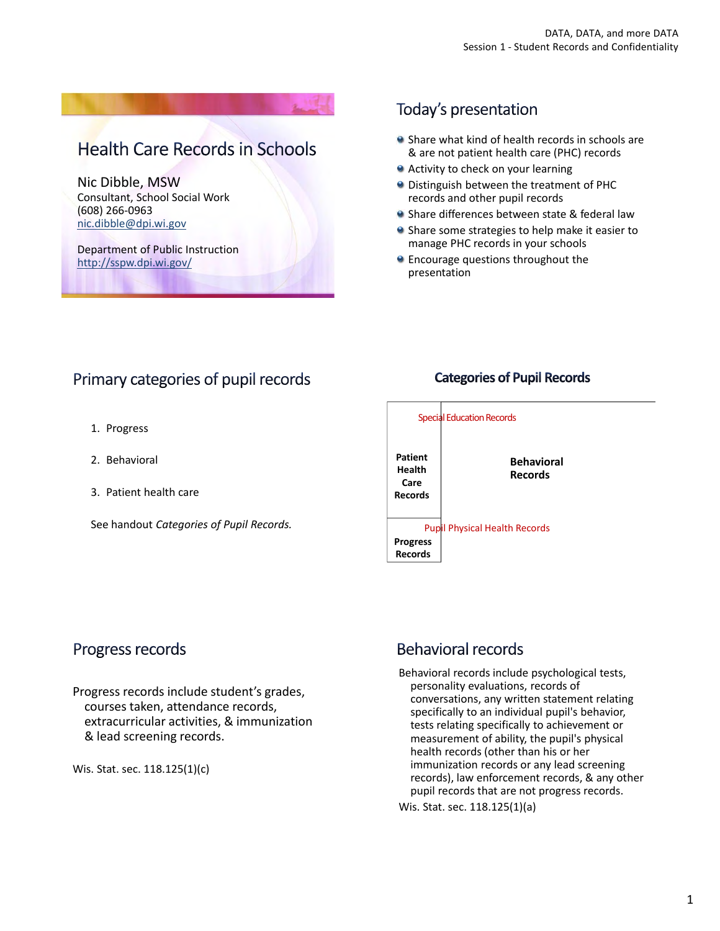**Health Care Records in Schools** 

Nic Dibble, MSW Consultant, School Social Work (608) 266‐0963 nic.dibble@dpi.wi.gov

Department of Public Instruction http://sspw.dpi.wi.gov/

## Today's presentation

- Share what kind of health records in schools are & are not patient health care (PHC) records
- **Activity to check on your learning**
- **O** Distinguish between the treatment of PHC records and other pupil records
- **Share differences between state & federal law**
- **•** Share some strategies to help make it easier to manage PHC records in your schools
- **•** Encourage questions throughout the presentation

# Primary categories of pupil records

- 1. Progress
- 2. Behavioral
- 3. Patient health care

See handout *Categories of Pupil Records.*

### **Categories of Pupil Records**



### Progress records

Progress records include student's grades, courses taken, attendance records, extracurricular activities, & immunization & lead screening records.

Wis. Stat. sec. 118.125(1)(c)

# **Behavioral records**

Behavioral records include psychological tests, personality evaluations, records of conversations, any written statement relating specifically to an individual pupil's behavior, tests relating specifically to achievement or measurement of ability, the pupil's physical health records (other than his or her immunization records or any lead screening records), law enforcement records, & any other pupil records that are not progress records.

Wis. Stat. sec. 118.125(1)(a)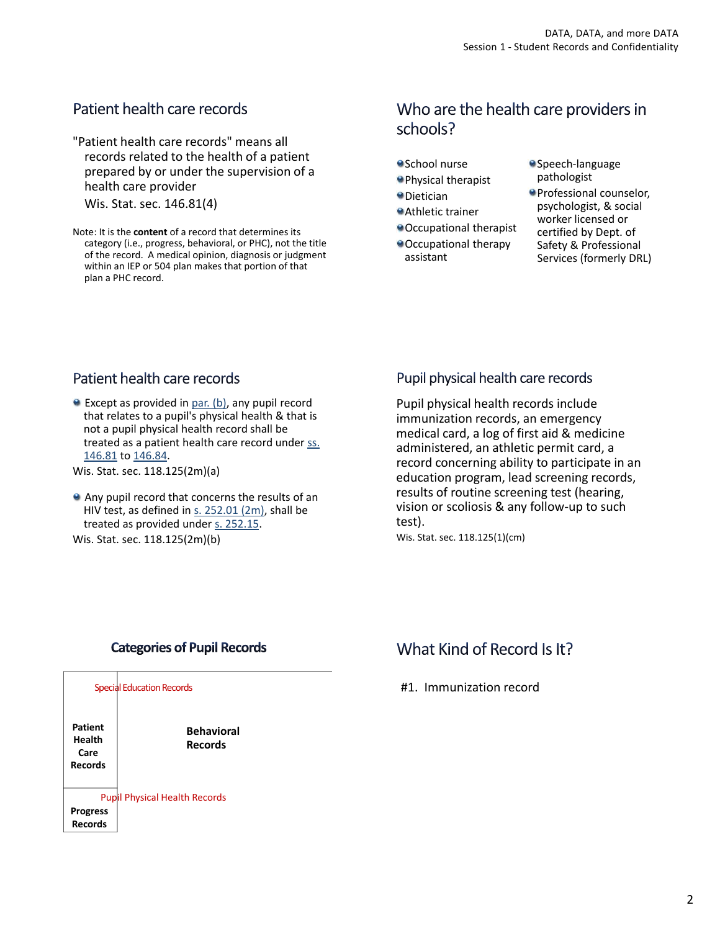## Patient health care records

"Patient health care records" means all records related to the health of a patient prepared by or under the supervision of a health care provider

Wis. Stat. sec. 146.81(4)

Note: It is the **content** of a record that determines its category (i.e., progress, behavioral, or PHC), not the title of the record. A medical opinion, diagnosis or judgment within an IEP or 504 plan makes that portion of that plan a PHC record.

## Who are the health care providers in schools?

- School nurse
- Physical therapist
- Dietician
- Athletic trainer
- Occupational therapist
- Occupational therapy assistant
- Speech-language pathologist
- Professional counselor, psychologist, & social worker licensed or certified by Dept. of Safety & Professional Services (formerly DRL)

### Patient health care records

Except as provided in par. (b), any pupil record that relates to a pupil's physical health & that is not a pupil physical health record shall be treated as a patient health care record under ss. 146.81 to 146.84.

Wis. Stat. sec. 118.125(2m)(a)

Any pupil record that concerns the results of an HIV test, as defined in s. 252.01 (2m), shall be treated as provided under s. 252.15.

Wis. Stat. sec. 118.125(2m)(b)

### Pupil physical health care records

Pupil physical health records include immunization records, an emergency medical card, a log of first aid & medicine administered, an athletic permit card, a record concerning ability to participate in an education program, lead screening records, results of routine screening test (hearing, vision or scoliosis & any follow‐up to such test).

Wis. Stat. sec. 118.125(1)(cm)

### **Categories of Pupil Records**



## What Kind of Record Is It?

#1. Immunization record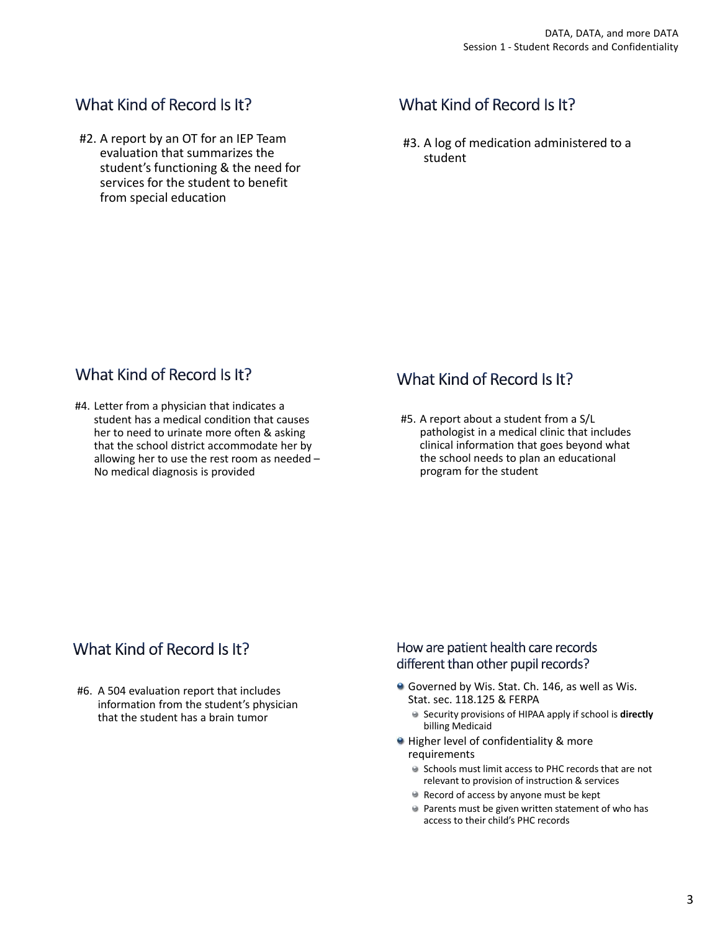## What Kind of Record Is It?

#2. A report by an OT for an IEP Team evaluation that summarizes the student's functioning & the need for services for the student to benefit from special education

# What Kind of Record Is It?

#3. A log of medication administered to a student

# What Kind of Record Is It?

#4. Letter from a physician that indicates a student has a medical condition that causes her to need to urinate more often & asking that the school district accommodate her by allowing her to use the rest room as needed – No medical diagnosis is provided

## What Kind of Record Is It?

#5. A report about a student from a S/L pathologist in a medical clinic that includes clinical information that goes beyond what the school needs to plan an educational program for the student

## What Kind of Record Is It?

#6. A 504 evaluation report that includes information from the student's physician that the student has a brain tumor

How are patient health care records different than other pupil records?

- Governed by Wis. Stat. Ch. 146, as well as Wis. Stat. sec. 118.125 & FERPA
	- Security provisions of HIPAA apply if school is **directly** billing Medicaid
- Higher level of confidentiality & more requirements
	- Schools must limit access to PHC records that are not relevant to provision of instruction & services
	- Record of access by anyone must be kept
	- **Parents must be given written statement of who has** access to their child's PHC records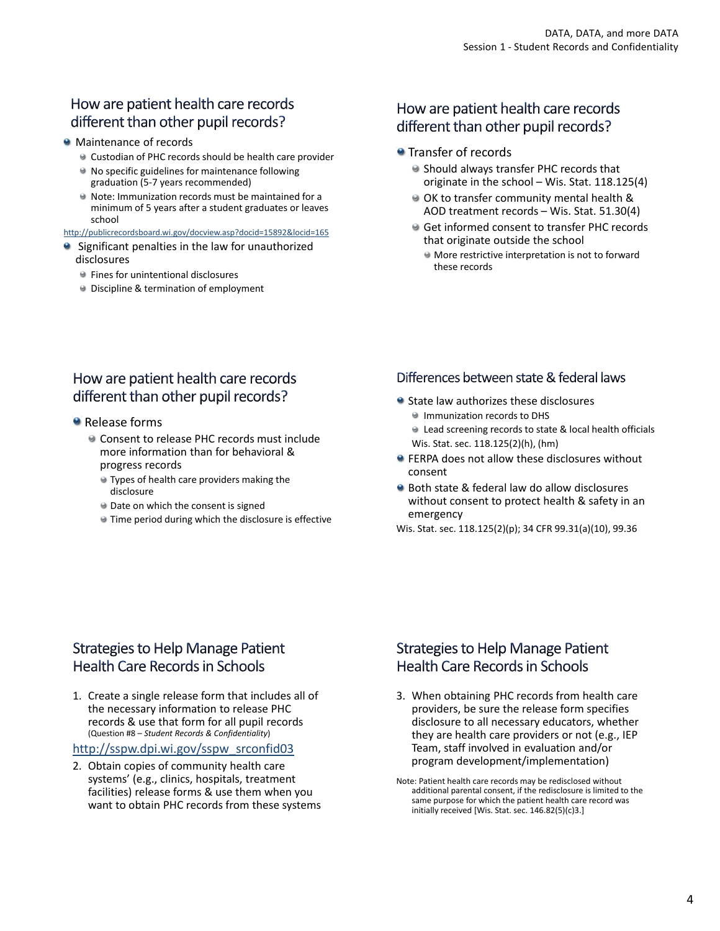## How are patient health care records different than other pupil records?

#### **Maintenance of records**

- Custodian of PHC records should be health care provider
- No specific guidelines for maintenance following graduation (5‐7 years recommended)
- Note: Immunization records must be maintained for a minimum of 5 years after a student graduates or leaves school

#### http://publicrecordsboard.wi.gov/docview.asp?docid=15892&locid=165

- **9** Significant penalties in the law for unauthorized disclosures
	- **•** Fines for unintentional disclosures
	- **Discipline & termination of employment**

### How are patient health care records different than other pupil records?

#### **•** Transfer of records

- Should always transfer PHC records that originate in the school – Wis. Stat. 118.125(4)
- OK to transfer community mental health & AOD treatment records – Wis. Stat. 51.30(4)
- Get informed consent to transfer PHC records that originate outside the school
	- More restrictive interpretation is not to forward these records

## How are patient health care records different than other pupil records?

- Release forms
	- Consent to release PHC records must include more information than for behavioral & progress records
		- Types of health care providers making the disclosure
		- **Date on which the consent is signed**
		- Time period during which the disclosure is effective

### Differences between state & federal laws

- State law authorizes these disclosures **Immunization records to DHS** Lead screening records to state & local health officials Wis. Stat. sec. 118.125(2)(h), (hm)
- **FERPA does not allow these disclosures without** consent
- Both state & federal law do allow disclosures without consent to protect health & safety in an emergency

Wis. Stat. sec. 118.125(2)(p); 34 CFR 99.31(a)(10), 99.36

## **Strategies to Help Manage Patient Health Care Records in Schools**

1. Create a single release form that includes all of the necessary information to release PHC records & use that form for all pupil records (Question #8 – *Student Records & Confidentiality*)

#### http://sspw.dpi.wi.gov/sspw\_srconfid03

2. Obtain copies of community health care systems' (e.g., clinics, hospitals, treatment facilities) release forms & use them when you want to obtain PHC records from these systems

## **Strategies to Help Manage Patient Health Care Records in Schools**

- 3. When obtaining PHC records from health care providers, be sure the release form specifies disclosure to all necessary educators, whether they are health care providers or not (e.g., IEP Team, staff involved in evaluation and/or program development/implementation)
- Note: Patient health care records may be redisclosed without additional parental consent, if the redisclosure is limited to the same purpose for which the patient health care record was initially received [Wis. Stat. sec. 146.82(5)(c)3.]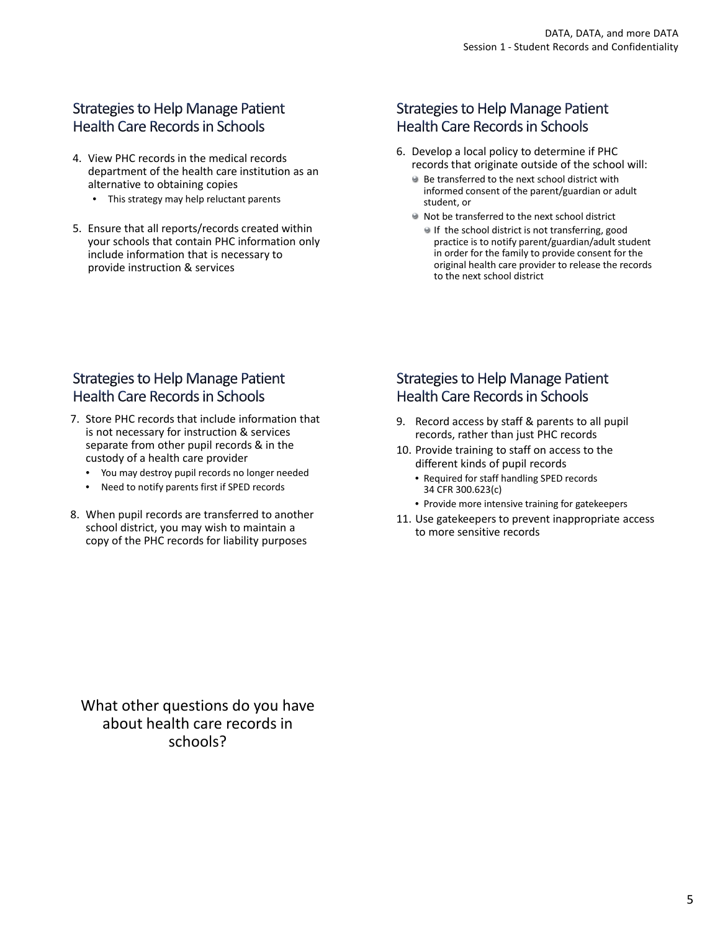## **Strategies to Help Manage Patient Health Care Records in Schools**

- 4. View PHC records in the medical records department of the health care institution as an alternative to obtaining copies
	- This strategy may help reluctant parents
- 5. Ensure that all reports/records created within your schools that contain PHC information only include information that is necessary to provide instruction & services

## **Strategies to Help Manage Patient Health Care Records in Schools**

- 6. Develop a local policy to determine if PHC records that originate outside of the school will:
	- Be transferred to the next school district with informed consent of the parent/guardian or adult student, or
	- Not be transferred to the next school district
		- If the school district is not transferring, good practice is to notify parent/guardian/adult student in order for the family to provide consent for the original health care provider to release the records to the next school district

## **Strategies to Help Manage Patient Health Care Records in Schools**

- 7. Store PHC records that include information that is not necessary for instruction & services separate from other pupil records & in the custody of a health care provider
	- You may destroy pupil records no longer needed
	- Need to notify parents first if SPED records
- 8. When pupil records are transferred to another school district, you may wish to maintain a copy of the PHC records for liability purposes

### **Strategies to Help Manage Patient Health Care Records in Schools**

- 9. Record access by staff & parents to all pupil records, rather than just PHC records
- 10. Provide training to staff on access to the different kinds of pupil records
	- Required for staff handling SPED records 34 CFR 300.623(c)
	- Provide more intensive training for gatekeepers
- 11. Use gatekeepers to prevent inappropriate access to more sensitive records

What other questions do you have about health care records in schools?